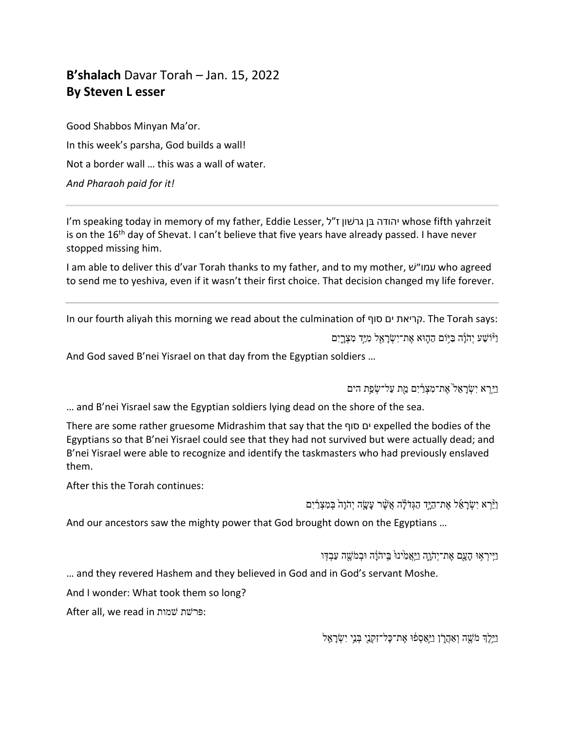## **B'shalach** Davar Torah – Jan. 15, 2022 **By Steven L esser**

Good Shabbos Minyan Ma'or. In this week's parsha, God builds a wall! Not a border wall … this was a wall of water. *And Pharaoh paid for it!*

I'm speaking today in memory of my father, Eddie Lesser, ל"ז ןושׁרג ןבּ הדוהי whose fifth yahrzeit is on the  $16<sup>th</sup>$  day of Shevat. I can't believe that five years have already passed. I have never stopped missing him.

I am able to deliver this d'var Torah thanks to my father, and to my mother, שׁ ״ומע who agreed to send me to yeshiva, even if it wasn't their first choice. That decision changed my life forever.

In our fourth aliyah this morning we read about the culmination of קריאת ים סוף . The Torah says: ַנ<sup>ְיָּוֹ</sup>שַׁעַ יִהְוַּׁה בַּיִּוֹם הַהֶּוּא אֶת־יִשְׂרָאֵל מְיַּדְ מִצְרֵיִם

And God saved B'nei Yisrael on that day from the Egyptian soldiers …

וירא ישראל<sup>י</sup>את־מצרים מת על־שפת הים

… and B'nei Yisrael saw the Egyptian soldiers lying dead on the shore of the sea.

There are some rather gruesome Midrashim that say that the ףוס םי expelled the bodies of the Egyptians so that B'nei Yisrael could see that they had not survived but were actually dead; and B'nei Yisrael were able to recognize and identify the taskmasters who had previously enslaved them.

After this the Torah continues:

וַיַּּרְא יִשְׂרָאֵל אֶת־הַיֶּד הַגְּדֹלָה אֲשֶׁר עָשָׂה יְהֹוָה בְּמִצְרַ֫יִם

And our ancestors saw the mighty power that God brought down on the Egyptians …

וַיִּיִרְאוּ הַעֲם אֶת־יִהְוֶה וַיַּאֲמָ<sup>יְ</sup>יַנ<sup>ְגְּ</sup> בֵּיהֹוֵֹה וּבְמֹשֶׁה עַבְדְּו

… and they revered Hashem and they believed in God and in God's servant Moshe.

And I wonder: What took them so long?

After all, we read in פרשׁת שמות

וַיֵּלֶךְ מֹשֶׁה וְאַהֲרָן וַיַּאַסְפֿוּ אֶת־כָּל־זִקְנֵי בְּנֵי יִשְׂרָאֵל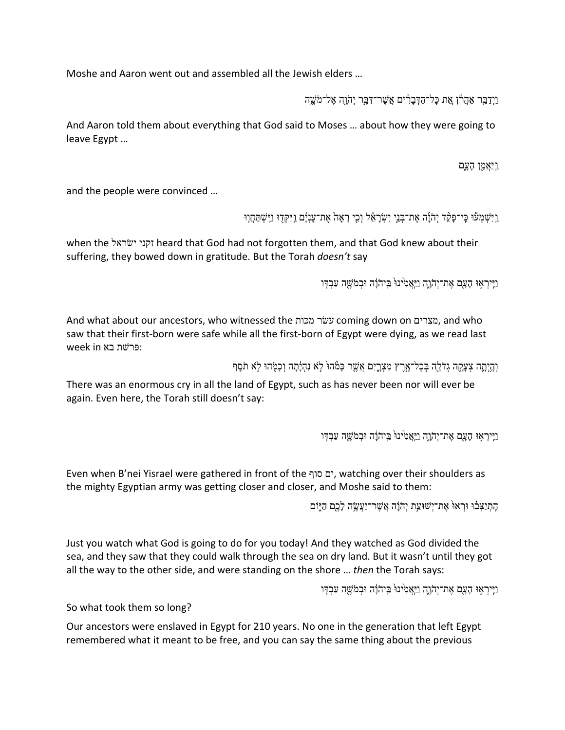Moshe and Aaron went out and assembled all the Jewish elders …

וַיִּדַבֵּר אֲהֶרוֹ אֵת כַּל־הַדְּבִרְיִם אֲשֶׁר־דָּבֵּר יְהֹוְהָ אֲל־מֹשֵׁה

And Aaron told them about everything that God said to Moses … about how they were going to leave Egypt …

וַ יַאֲמֵן הָעֲם

and the people were convinced …

ַיִּישְׁמְעוּ כֵּי־כַּקַּד יְהֹוַה אֶת־בְּנֵי יִשְׂרַאֵ֫ל וְכֵי רַאֲהֹ אֶת־עַנָּיַם וַיִּקְדוּ וַיֵּשְׁתַּחֲווּ

when the לארשׂי ינקז heard that God had not forgotten them, and that God knew about their suffering, they bowed down in gratitude. But the Torah *doesn't* say

וַיִּיִרְאָוּ הָעֲם אֶת־יִהְוָה וַיַּאֲמְינוּ בֵּיהֹוֹה וּבְמֹשֵׁה עַבְדְּו

And what about our ancestors, who witnessed the תוכּמ רשׂע coming down on םירצמ , and who saw that their first-born were safe while all the first-born of Egypt were dying, as we read last  $week$  in פּרשׁת בא

וְהָיָתֵה צְעֲקָה גִדֹלָה בְּכָל־אֶרֶץ מְצָרֵיִם אֲשֵׁר כַּמָּהוּ לְא נְהָיַתַה וְכַמִּהוּ לְא תֹסֵף

There was an enormous cry in all the land of Egypt, such as has never been nor will ever be again. Even here, the Torah still doesn't say:

וַיִּיִרְאָוּ הָעֲם אֶת־יְהֹוֶה וַיַּאֲמְינוּ בַּיהֹוָה וּבְמֹשֶׁה עַבְדְּו

Even when B'nei Yisrael were gathered in front of the ףוס םי , watching over their shoulders as the mighty Egyptian army was getting closer and closer, and Moshe said to them:

הָתְיַצָּבֿוּ וּרְאוּ אֶת־יִשׁוּעַת יְהֹוָה אֲשֶׁר־יַעֲשֶׂה לָכֶם הַיָּוֹם

Just you watch what God is going to do for you today! And they watched as God divided the sea, and they saw that they could walk through the sea on dry land. But it wasn't until they got all the way to the other side, and were standing on the shore … *then* the Torah says:

ויֵיראוּ הַעָם אַת־יהָוֹה ויאַמ<sup>ָּ</sup>ינוּ בֵּיהוֹה וּבמֹשֵׁה עַבדּו

So what took them so long?

Our ancestors were enslaved in Egypt for 210 years. No one in the generation that left Egypt remembered what it meant to be free, and you can say the same thing about the previous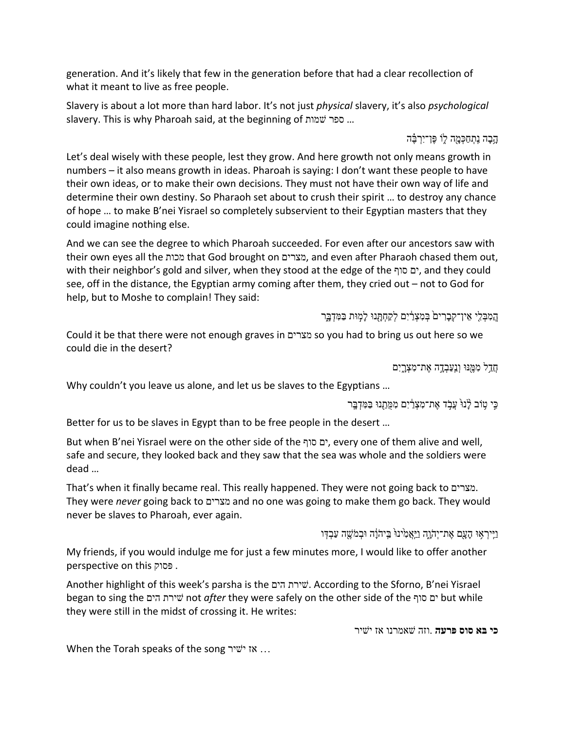generation. And it's likely that few in the generation before that had a clear recollection of what it meant to live as free people.

Slavery is about a lot more than hard labor. It's not just *physical* slavery, it's also *psychological* slavery. This is why Pharoah said, at the beginning of הוא ספר שמות.

ּהֶבָה נֶתְחַכְּמָה לַוֹ פֵּן־יִרְבֶּה

Let's deal wisely with these people, lest they grow. And here growth not only means growth in numbers – it also means growth in ideas. Pharoah is saying: I don't want these people to have their own ideas, or to make their own decisions. They must not have their own way of life and determine their own destiny. So Pharaoh set about to crush their spirit … to destroy any chance of hope … to make B'nei Yisrael so completely subservient to their Egyptian masters that they could imagine nothing else.

And we can see the degree to which Pharoah succeeded. For even after our ancestors saw with their own eyes all the תוכמ that God brought on םירצמ , and even after Pharaoh chased them out, with their neighbor's gold and silver, when they stood at the edge of the ףוס םי , and they could see, off in the distance, the Egyptian army coming after them, they cried out – not to God for help, but to Moshe to complain! They said:

הַמְבָּלֵי אֵין־קִבָרִים בִּמְצְרַיִם לִקַחָתְּנוּ לַמְוּת בַּמִּדְבֵּר

Could it be that there were not enough graves in םירצמ so you had to bring us out here so we could die in the desert?

ַחֲדָל מִמֶּנּוּ וְנַעֲבְדֶה אֶת־מִצְרֱיִם

Why couldn't you leave us alone, and let us be slaves to the Egyptians ...

ְכֵי טִוֹּב לַּנוּ עֲבְד אֵת־מִצְרַ֫יִם מִמֻּתֲנוּ בַּמִּדְבֵּר

Better for us to be slaves in Egypt than to be free people in the desert …

But when B'nei Yisrael were on the other side of the ףוס םי , every one of them alive and well, safe and secure, they looked back and they saw that the sea was whole and the soldiers were dead …

That's when it finally became real. This really happened. They were not going back to םירצמ . They were *never* going back to םירצמ and no one was going to make them go back. They would never be slaves to Pharoah, ever again.

וַיִּיִרְאָוּ הָעֲם אֵת־יְהֹוָה וַיַּאֲמְ<sup>ָ</sup>ינוּ בֵּיהֹוֵֹה וּבְמֹשֵׁה עַבְדְּו

My friends, if you would indulge me for just a few minutes more, I would like to offer another perspective on this קוספּ .

Another highlight of this week's parsha is the םיה תרישׁ . According to the Sforno, B'nei Yisrael began to sing the םיה תרישׁ not *after* they were safely on the other side of the ףוס םי but while they were still in the midst of crossing it. He writes:

**יכ אבּ סוס הערפּ** . הזו ונרמאשׁ זא רישׁי

When the Torah speaks of the song ישיר... אז ישיר